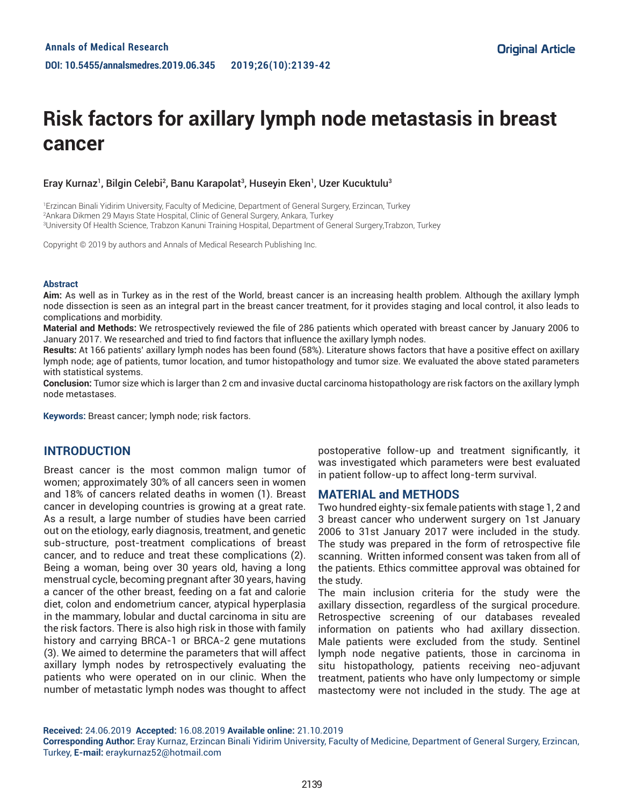# **Risk factors for axillary lymph node metastasis in breast cancer**

## Eray Kurnaz<sup>1</sup>, Bilgin Celebi<sup>2</sup>, Banu Karapolat<sup>3</sup>, Huseyin Eken<sup>1</sup>, Uzer Kucuktulu<sup>3</sup>

1 Erzincan Binali Yidirim University, Faculty of Medicine, Department of General Surgery, Erzincan, Turkey 2 Ankara Dikmen 29 Mayıs State Hospital, Clinic of General Surgery, Ankara, Turkey 3 University Of Health Science, Trabzon Kanuni Training Hospital, Department of General Surgery,Trabzon, Turkey

Copyright © 2019 by authors and Annals of Medical Research Publishing Inc.

#### **Abstract**

**Aim:** As well as in Turkey as in the rest of the World, breast cancer is an increasing health problem. Although the axillary lymph node dissection is seen as an integral part in the breast cancer treatment, for it provides staging and local control, it also leads to complications and morbidity.

**Material and Methods:** We retrospectively reviewed the file of 286 patients which operated with breast cancer by January 2006 to January 2017. We researched and tried to find factors that influence the axillary lymph nodes.

**Results:** At 166 patients' axillary lymph nodes has been found (58%). Literature shows factors that have a positive effect on axillary lymph node; age of patients, tumor location, and tumor histopathology and tumor size. We evaluated the above stated parameters with statistical systems.

**Conclusion:** Tumor size which is larger than 2 cm and invasive ductal carcinoma histopathology are risk factors on the axillary lymph node metastases.

**Keywords:** Breast cancer; lymph node; risk factors.

# **INTRODUCTION**

Breast cancer is the most common malign tumor of women; approximately 30% of all cancers seen in women and 18% of cancers related deaths in women (1). Breast cancer in developing countries is growing at a great rate. As a result, a large number of studies have been carried out on the etiology, early diagnosis, treatment, and genetic sub-structure, post-treatment complications of breast cancer, and to reduce and treat these complications (2). Being a woman, being over 30 years old, having a long menstrual cycle, becoming pregnant after 30 years, having a cancer of the other breast, feeding on a fat and calorie diet, colon and endometrium cancer, atypical hyperplasia in the mammary, lobular and ductal carcinoma in situ are the risk factors. There is also high risk in those with family history and carrying BRCA-1 or BRCA-2 gene mutations (3). We aimed to determine the parameters that will affect axillary lymph nodes by retrospectively evaluating the patients who were operated on in our clinic. When the number of metastatic lymph nodes was thought to affect postoperative follow-up and treatment significantly, it was investigated which parameters were best evaluated in patient follow-up to affect long-term survival.

### **MATERIAL and METHODS**

Two hundred eighty-six female patients with stage 1, 2 and 3 breast cancer who underwent surgery on 1st January 2006 to 31st January 2017 were included in the study. The study was prepared in the form of retrospective file scanning. Written informed consent was taken from all of the patients. Ethics committee approval was obtained for the study.

The main inclusion criteria for the study were the axillary dissection, regardless of the surgical procedure. Retrospective screening of our databases revealed information on patients who had axillary dissection. Male patients were excluded from the study. Sentinel lymph node negative patients, those in carcinoma in situ histopathology, patients receiving neo-adjuvant treatment, patients who have only lumpectomy or simple mastectomy were not included in the study. The age at

**Received:** 24.06.2019 **Accepted:** 16.08.2019 **Available online:** 21.10.2019

**Corresponding Author:** Eray Kurnaz, Erzincan Binali Yidirim University, Faculty of Medicine, Department of General Surgery, Erzincan, Turkey, **E-mail:** eraykurnaz52@hotmail.com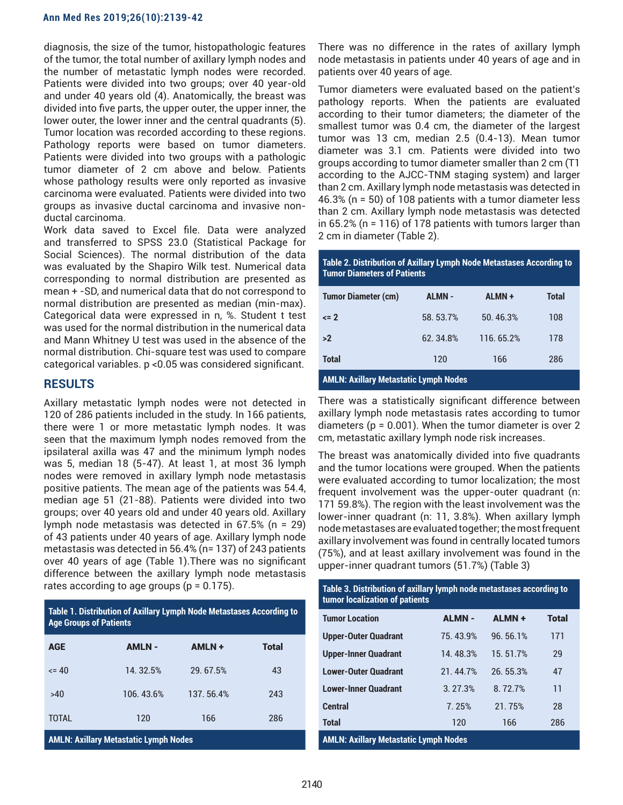#### **Ann Med Res 2019;26(10):2139-42**

diagnosis, the size of the tumor, histopathologic features of the tumor, the total number of axillary lymph nodes and the number of metastatic lymph nodes were recorded. Patients were divided into two groups; over 40 year-old and under 40 years old (4). Anatomically, the breast was divided into five parts, the upper outer, the upper inner, the lower outer, the lower inner and the central quadrants (5). Tumor location was recorded according to these regions. Pathology reports were based on tumor diameters. Patients were divided into two groups with a pathologic tumor diameter of 2 cm above and below. Patients whose pathology results were only reported as invasive carcinoma were evaluated. Patients were divided into two groups as invasive ductal carcinoma and invasive nonductal carcinoma.

Work data saved to Excel file. Data were analyzed and transferred to SPSS 23.0 (Statistical Package for Social Sciences). The normal distribution of the data was evaluated by the Shapiro Wilk test. Numerical data corresponding to normal distribution are presented as mean + -SD, and numerical data that do not correspond to normal distribution are presented as median (min-max). Categorical data were expressed in n, %. Student t test was used for the normal distribution in the numerical data and Mann Whitney U test was used in the absence of the normal distribution. Chi-square test was used to compare categorical variables. p <0.05 was considered significant.

## **RESULTS**

Axillary metastatic lymph nodes were not detected in 120 of 286 patients included in the study. In 166 patients, there were 1 or more metastatic lymph nodes. It was seen that the maximum lymph nodes removed from the ipsilateral axilla was 47 and the minimum lymph nodes was 5, median 18 (5-47). At least 1, at most 36 lymph nodes were removed in axillary lymph node metastasis positive patients. The mean age of the patients was 54.4, median age 51 (21-88). Patients were divided into two groups; over 40 years old and under 40 years old. Axillary lymph node metastasis was detected in 67.5% (n = 29) of 43 patients under 40 years of age. Axillary lymph node metastasis was detected in 56.4% (n= 137) of 243 patients over 40 years of age (Table 1).There was no significant difference between the axillary lymph node metastasis rates according to age groups ( $p = 0.175$ ).

| Table 1. Distribution of Axillary Lymph Node Metastases According to<br><b>Age Groups of Patients</b> |               |               |              |  |  |
|-------------------------------------------------------------------------------------------------------|---------------|---------------|--------------|--|--|
| <b>AGE</b>                                                                                            | <b>AMLN -</b> | <b>AMLN +</b> | <b>Total</b> |  |  |
| $\leq 40$                                                                                             | 14.32.5%      | 29.67.5%      | 43           |  |  |
| >40                                                                                                   | 106.43.6%     | 137, 56.4%    | 243          |  |  |
| <b>TOTAL</b>                                                                                          | 120           | 166           | 286          |  |  |
|                                                                                                       |               |               |              |  |  |

**AMLN: Axillary Metastatic Lymph Nodes**

There was no difference in the rates of axillary lymph node metastasis in patients under 40 years of age and in patients over 40 years of age.

Tumor diameters were evaluated based on the patient's pathology reports. When the patients are evaluated according to their tumor diameters; the diameter of the smallest tumor was 0.4 cm, the diameter of the largest tumor was 13 cm, median 2.5 (0.4-13). Mean tumor diameter was 3.1 cm. Patients were divided into two groups according to tumor diameter smaller than 2 cm (T1 according to the AJCC-TNM staging system) and larger than 2 cm. Axillary lymph node metastasis was detected in 46.3% (n = 50) of 108 patients with a tumor diameter less than 2 cm. Axillary lymph node metastasis was detected in 65.2% (n = 116) of 178 patients with tumors larger than 2 cm in diameter (Table 2).

**Table 2. Distribution of Axillary Lymph Node Metastases According to Tumor Diameters of Patients**

| <b>Tumor Diameter (cm)</b> | <b>ALMN -</b> | ALMN+     | <b>Total</b> |
|----------------------------|---------------|-----------|--------------|
| $\leq$ 2                   | 58.53.7%      | 50.46.3%  | 108          |
| >2                         | 62.34.8%      | 116.65.2% | 178          |
| <b>Total</b>               | 120           | 166       | 286          |

**AMLN: Axillary Metastatic Lymph Nodes**

There was a statistically significant difference between axillary lymph node metastasis rates according to tumor diameters ( $p = 0.001$ ). When the tumor diameter is over 2 cm, metastatic axillary lymph node risk increases.

The breast was anatomically divided into five quadrants and the tumor locations were grouped. When the patients were evaluated according to tumor localization; the most frequent involvement was the upper-outer quadrant (n: 171 59.8%). The region with the least involvement was the lower-inner quadrant (n: 11, 3.8%). When axillary lymph node metastases are evaluated together; the most frequent axillary involvement was found in centrally located tumors (75%), and at least axillary involvement was found in the upper-inner quadrant tumors (51.7%) (Table 3)

| Table 3. Distribution of axillary lymph node metastases according to<br>tumor localization of patients |              |               |              |  |  |
|--------------------------------------------------------------------------------------------------------|--------------|---------------|--------------|--|--|
| <b>Tumor Location</b>                                                                                  | <b>ALMN-</b> | <b>ALMN +</b> | <b>Total</b> |  |  |
| <b>Upper-Outer Quadrant</b>                                                                            | 75.43.9%     | 96.56.1%      | 171          |  |  |
| <b>Upper-Inner Quadrant</b>                                                                            | 14.48.3%     | 15.51.7%      | 29           |  |  |
| <b>Lower-Outer Quadrant</b>                                                                            | 21.44.7%     | 26.55.3%      | 47           |  |  |
| <b>Lower-Inner Quadrant</b>                                                                            | 3.27.3%      | 8.72.7%       | 11           |  |  |
| <b>Central</b>                                                                                         | 7.25%        | 21.75%        | 28           |  |  |
| <b>Total</b>                                                                                           | 120          | 166           | 286          |  |  |
| <b>AMLN: Axillary Metastatic Lymph Nodes</b>                                                           |              |               |              |  |  |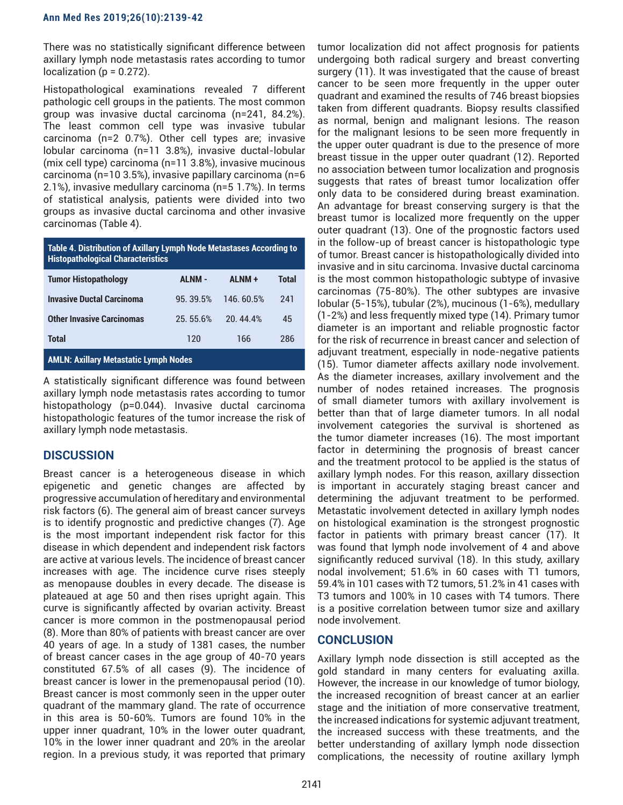There was no statistically significant difference between axillary lymph node metastasis rates according to tumor  $localization (p = 0.272).$ 

Histopathological examinations revealed 7 different pathologic cell groups in the patients. The most common group was invasive ductal carcinoma (n=241, 84.2%). The least common cell type was invasive tubular carcinoma (n=2 0.7%). Other cell types are; invasive lobular carcinoma (n=11 3.8%), invasive ductal-lobular (mix cell type) carcinoma (n=11 3.8%), invasive mucinous carcinoma (n=10 3.5%), invasive papillary carcinoma (n=6 2.1%), invasive medullary carcinoma (n=5 1.7%). In terms of statistical analysis, patients were divided into two groups as invasive ductal carcinoma and other invasive carcinomas (Table 4).

| Table 4. Distribution of Axillary Lymph Node Metastases According to<br><b>Histopathological Characteristics</b> |               |               |              |  |  |
|------------------------------------------------------------------------------------------------------------------|---------------|---------------|--------------|--|--|
| <b>Tumor Histopathology</b>                                                                                      | <b>ALNM -</b> | <b>ALNM +</b> | <b>Total</b> |  |  |
| <b>Invasive Ductal Carcinoma</b>                                                                                 | 95.39.5%      | 146.60.5%     | 241          |  |  |
| <b>Other Invasive Carcinomas</b>                                                                                 | 25.55.6%      | 20.44.4%      | 45           |  |  |
| <b>Total</b>                                                                                                     | 120           | 166           | 286          |  |  |
| <b>AMLN: Axillary Metastatic Lymph Nodes</b>                                                                     |               |               |              |  |  |

A statistically significant difference was found between axillary lymph node metastasis rates according to tumor histopathology (p=0.044). Invasive ductal carcinoma histopathologic features of the tumor increase the risk of axillary lymph node metastasis.

# **DISCUSSION**

Breast cancer is a heterogeneous disease in which epigenetic and genetic changes are affected by progressive accumulation of hereditary and environmental risk factors (6). The general aim of breast cancer surveys is to identify prognostic and predictive changes (7). Age is the most important independent risk factor for this disease in which dependent and independent risk factors are active at various levels. The incidence of breast cancer increases with age. The incidence curve rises steeply as menopause doubles in every decade. The disease is plateaued at age 50 and then rises upright again. This curve is significantly affected by ovarian activity. Breast cancer is more common in the postmenopausal period (8). More than 80% of patients with breast cancer are over 40 years of age. In a study of 1381 cases, the number of breast cancer cases in the age group of 40-70 years constituted 67.5% of all cases (9). The incidence of breast cancer is lower in the premenopausal period (10). Breast cancer is most commonly seen in the upper outer quadrant of the mammary gland. The rate of occurrence in this area is 50-60%. Tumors are found 10% in the upper inner quadrant, 10% in the lower outer quadrant, 10% in the lower inner quadrant and 20% in the areolar region. In a previous study, it was reported that primary

tumor localization did not affect prognosis for patients undergoing both radical surgery and breast converting surgery (11). It was investigated that the cause of breast cancer to be seen more frequently in the upper outer quadrant and examined the results of 746 breast biopsies taken from different quadrants. Biopsy results classified as normal, benign and malignant lesions. The reason for the malignant lesions to be seen more frequently in the upper outer quadrant is due to the presence of more breast tissue in the upper outer quadrant (12). Reported no association between tumor localization and prognosis suggests that rates of breast tumor localization offer only data to be considered during breast examination. An advantage for breast conserving surgery is that the breast tumor is localized more frequently on the upper outer quadrant (13). One of the prognostic factors used in the follow-up of breast cancer is histopathologic type of tumor. Breast cancer is histopathologically divided into invasive and in situ carcinoma. Invasive ductal carcinoma is the most common histopathologic subtype of invasive carcinomas (75-80%). The other subtypes are invasive lobular (5-15%), tubular (2%), mucinous (1-6%), medullary (1-2%) and less frequently mixed type (14). Primary tumor diameter is an important and reliable prognostic factor for the risk of recurrence in breast cancer and selection of adjuvant treatment, especially in node-negative patients (15). Tumor diameter affects axillary node involvement. As the diameter increases, axillary involvement and the number of nodes retained increases. The prognosis of small diameter tumors with axillary involvement is better than that of large diameter tumors. In all nodal involvement categories the survival is shortened as the tumor diameter increases (16). The most important factor in determining the prognosis of breast cancer and the treatment protocol to be applied is the status of axillary lymph nodes. For this reason, axillary dissection is important in accurately staging breast cancer and determining the adjuvant treatment to be performed. Metastatic involvement detected in axillary lymph nodes on histological examination is the strongest prognostic factor in patients with primary breast cancer (17). It was found that lymph node involvement of 4 and above significantly reduced survival (18). In this study, axillary nodal involvement; 51.6% in 60 cases with T1 tumors, 59.4% in 101 cases with T2 tumors, 51.2% in 41 cases with T3 tumors and 100% in 10 cases with T4 tumors. There is a positive correlation between tumor size and axillary node involvement.

# **CONCLUSION**

Axillary lymph node dissection is still accepted as the gold standard in many centers for evaluating axilla. However, the increase in our knowledge of tumor biology, the increased recognition of breast cancer at an earlier stage and the initiation of more conservative treatment, the increased indications for systemic adjuvant treatment, the increased success with these treatments, and the better understanding of axillary lymph node dissection complications, the necessity of routine axillary lymph